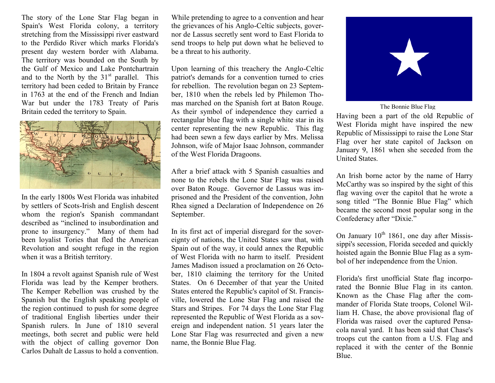The story of the Lone Star Flag began in Spain's West Florida colony, a territory stretching from the Mississippi river eastward to the Perdido River which marks Florida's present day western border with Alabama. The territory was bounded on the South by the Gulf of Mexico and Lake Pontchartrain and to the North by the  $31<sup>st</sup>$  parallel. This territory had been ceded to Britain by France in 1763 at the end of the French and Indian War but under the 1783 Treaty of Paris Britain ceded the territory to Spain.



In the early 1800s West Florida was inhabited by settlers of Scots-Irish and English descent whom the region's Spanish commandant described as "inclined to insubordination and prone to insurgency." Many of them had been loyalist Tories that fled the American Revolution and sought refuge in the region when it was a British territory.

In 1804 a revolt against Spanish rule of West Florida was lead by the Kemper brothers. The Kemper Rebellion was crushed by the Spanish but the English speaking people of the region continued to push for some degree of traditional English liberties under their Spanish rulers. In June of 1810 several meetings, both secret and public were held with the object of calling governor Don Carlos Duhalt de Lassus to hold a convention.

While pretending to agree to a convention and hear the grievances of his Anglo-Celtic subjects, governor de Lassus secretly sent word to East Florida to send troops to help put down what he believed to be a threat to his authority.

Upon learning of this treachery the Anglo-Celtic patriot's demands for a convention turned to cries for rebellion. The revolution began on 23 September, 1810 when the rebels led by Philemon Thomas marched on the Spanish fort at Baton Rouge. As their symbol of independence they carried a rectangular blue flag with a single white star in its center representing the new Republic. This flag had been sewn a few days earlier by Mrs. Melissa Johnson, wife of Major Isaac Johnson, commander of the West Florida Dragoons.

After a brief attack with 5 Spanish casualties and none to the rebels the Lone Star Flag was raised over Baton Rouge. Governor de Lassus was imprisoned and the President of the convention, John Rhea signed a Declaration of Independence on 26 September.

In its first act of imperial disregard for the sovereignty of nations, the United States saw that, with Spain out of the way, it could annex the Republic of West Florida with no harm to itself. President James Madison issued a proclamation on 26 October, 1810 claiming the territory for the United States. On 6 December of that year the United States entered the Republic's capitol of St. Francisville, lowered the Lone Star Flag and raised the Stars and Stripes. For 74 days the Lone Star Flag represented the Republic of West Florida as a sovereign and independent nation. 51 years later the Lone Star Flag was resurrected and given a new name, the Bonnie Blue Flag.



The Bonnie Blue Flag

Having been a part of the old Republic of West Florida might have inspired the new Republic of Mississippi to raise the Lone Star Flag over her state capitol of Jackson on January 9, 1861 when she seceded from the United States.

An Irish borne actor by the name of Harry McCarthy was so inspired by the sight of this flag waving over the capitol that he wrote a song titled "The Bonnie Blue Flag" which became the second most popular song in the Confederacy after "Dixie."

On January  $10^{th}$  1861, one day after Mississippi's secession, Florida seceded and quickly hoisted again the Bonnie Blue Flag as a symbol of her independence from the Union.

Florida's first unofficial State flag incorporated the Bonnie Blue Flag in its canton. Known as the Chase Flag after the commander of Florida State troops, Colonel William H. Chase, the above provisional flag of Florida was raised over the captured Pensacola naval yard. It has been said that Chase's troops cut the canton from a U.S. Flag and replaced it with the center of the Bonnie Blue.